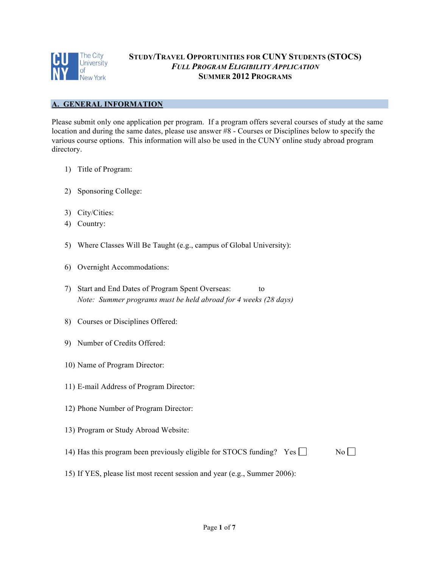

# **STUDY/TRAVEL OPPORTUNITIES FOR CUNY STUDENTS (STOCS)** *FULL PROGRAM ELIGIBILITY APPLICATION* **SUMMER 2012 PROGRAMS**

## **A. GENERAL INFORMATION**

Please submit only one application per program. If a program offers several courses of study at the same location and during the same dates, please use answer #8 - Courses or Disciplines below to specify the various course options. This information will also be used in the CUNY online study abroad program directory.

- 1) Title of Program:
- 2) Sponsoring College:
- 3) City/Cities:
- 4) Country:
- 5) Where Classes Will Be Taught (e.g., campus of Global University):
- 6) Overnight Accommodations:
- 7) Start and End Dates of Program Spent Overseas: to *Note: Summer programs must be held abroad for 4 weeks (28 days)*
- 8) Courses or Disciplines Offered:
- 9) Number of Credits Offered:
- 10) Name of Program Director:
- 11) E-mail Address of Program Director:
- 12) Phone Number of Program Director:
- 13) Program or Study Abroad Website:
- 14) Has this program been previously eligible for STOCS funding? Yes  $\Box$

15) If YES, please list most recent session and year (e.g., Summer 2006):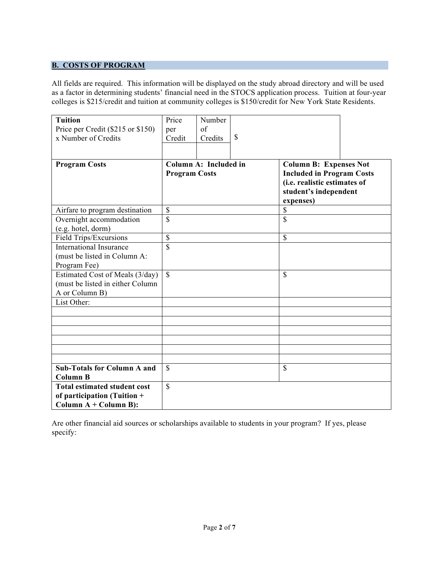# **B. COSTS OF PROGRAM**

All fields are required. This information will be displayed on the study abroad directory and will be used as a factor in determining students' financial need in the STOCS application process. Tuition at four-year colleges is \$215/credit and tuition at community colleges is \$150/credit for New York State Residents.

| Tuition<br>Price per Credit (\$215 or \$150)<br>x Number of Credits                                               | Price<br>per<br>Credit                        | Number<br>of<br>Credits | $\mathcal{S}$                                                                                                                           |    |  |
|-------------------------------------------------------------------------------------------------------------------|-----------------------------------------------|-------------------------|-----------------------------------------------------------------------------------------------------------------------------------------|----|--|
| <b>Program Costs</b>                                                                                              | Column A: Included in<br><b>Program Costs</b> |                         | <b>Column B: Expenses Not</b><br><b>Included in Program Costs</b><br>(i.e. realistic estimates of<br>student's independent<br>expenses) |    |  |
| Airfare to program destination                                                                                    | $\mathcal{S}$                                 |                         |                                                                                                                                         | \$ |  |
| Overnight accommodation<br>(e.g. hotel, dorm)                                                                     | $\mathbf S$                                   |                         | \$                                                                                                                                      |    |  |
| Field Trips/Excursions                                                                                            | $\mathbf S$                                   |                         |                                                                                                                                         | \$ |  |
| <b>International Insurance</b><br>(must be listed in Column A:<br>Program Fee)<br>Estimated Cost of Meals (3/day) | $\overline{\mathbb{S}}$<br>$\mathbf S$        |                         |                                                                                                                                         | \$ |  |
| (must be listed in either Column)<br>A or Column B)                                                               |                                               |                         |                                                                                                                                         |    |  |
| List Other:                                                                                                       |                                               |                         |                                                                                                                                         |    |  |
|                                                                                                                   |                                               |                         |                                                                                                                                         |    |  |
|                                                                                                                   |                                               |                         |                                                                                                                                         |    |  |
|                                                                                                                   |                                               |                         |                                                                                                                                         |    |  |
|                                                                                                                   |                                               |                         |                                                                                                                                         |    |  |
|                                                                                                                   |                                               |                         |                                                                                                                                         |    |  |
| <b>Sub-Totals for Column A and</b><br><b>Column B</b>                                                             | $\mathbf S$                                   |                         |                                                                                                                                         | \$ |  |
| <b>Total estimated student cost</b><br>of participation (Tuition +<br>Column $A + Column B$ :                     | $\mathbf S$                                   |                         |                                                                                                                                         |    |  |

Are other financial aid sources or scholarships available to students in your program? If yes, please specify: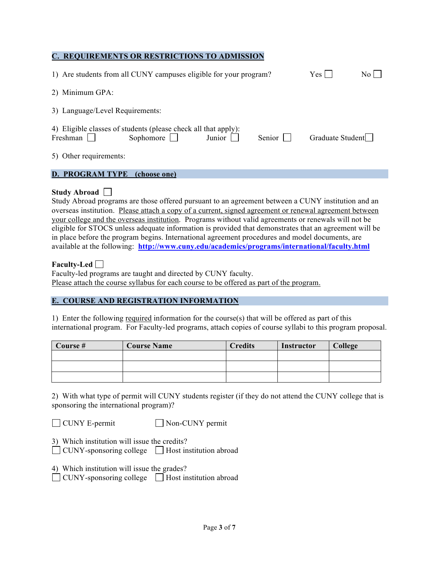## **C. REQUIREMENTS OR RESTRICTIONS TO ADMISSION**

| 1) Are students from all CUNY campuses eligible for your program?                                                                | Yes              | $\rm No$ $\Box$ |
|----------------------------------------------------------------------------------------------------------------------------------|------------------|-----------------|
| 2) Minimum GPA:                                                                                                                  |                  |                 |
| 3) Language/Level Requirements:                                                                                                  |                  |                 |
| 4) Eligible classes of students (please check all that apply):<br>Sophomore $\Box$<br>Senior $\Box$<br>Freshman $\Box$<br>Junior | Graduate Student |                 |
| 5) Other requirements:                                                                                                           |                  |                 |
| <b>D. PROGRAM TYPE</b><br>(choose one)                                                                                           |                  |                 |

#### **Study Abroad**

Study Abroad programs are those offered pursuant to an agreement between a CUNY institution and an overseas institution. Please attach a copy of a current, signed agreement or renewal agreement between your college and the overseas institution. Programs without valid agreements or renewals will not be eligible for STOCS unless adequate information is provided that demonstrates that an agreement will be in place before the program begins. International agreement procedures and model documents, are available at the following: **http://www.cuny.edu/academics/programs/international/faculty.html**

### **Faculty-Led**

Faculty-led programs are taught and directed by CUNY faculty. Please attach the course syllabus for each course to be offered as part of the program.

#### **E. COURSE AND REGISTRATION INFORMATION**

1) Enter the following required information for the course(s) that will be offered as part of this international program. For Faculty-led programs, attach copies of course syllabi to this program proposal.

| Course # | <b>Course Name</b> | <b>Credits</b> | Instructor | College |
|----------|--------------------|----------------|------------|---------|
|          |                    |                |            |         |
|          |                    |                |            |         |
|          |                    |                |            |         |

2) With what type of permit will CUNY students register (if they do not attend the CUNY college that is sponsoring the international program)?

□ CUNY E-permit Non-CUNY permit

| 3) Which institution will issue the credits?                  |  |
|---------------------------------------------------------------|--|
| $\Box$ CUNY-sponsoring college $\Box$ Host institution abroad |  |

4) Which institution will issue the grades?

 $\Box$  CUNY-sponsoring college  $\Box$  Host institution abroad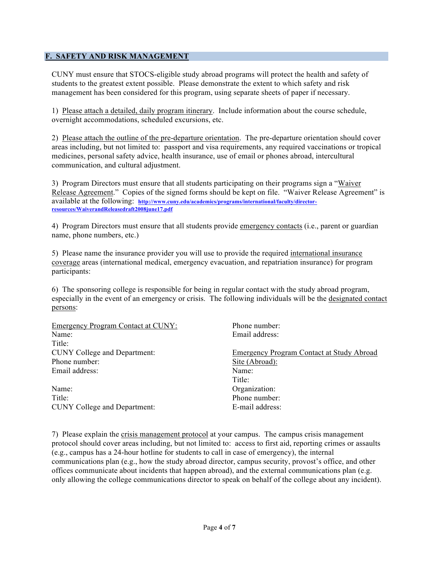## **F. SAFETY AND RISK MANAGEMENT**

CUNY must ensure that STOCS-eligible study abroad programs will protect the health and safety of students to the greatest extent possible. Please demonstrate the extent to which safety and risk management has been considered for this program, using separate sheets of paper if necessary.

1) Please attach a detailed, daily program itinerary. Include information about the course schedule, overnight accommodations, scheduled excursions, etc.

2) Please attach the outline of the pre-departure orientation. The pre-departure orientation should cover areas including, but not limited to: passport and visa requirements, any required vaccinations or tropical medicines, personal safety advice, health insurance, use of email or phones abroad, intercultural communication, and cultural adjustment.

3) Program Directors must ensure that all students participating on their programs sign a "Waiver Release Agreement." Copies of the signed forms should be kept on file. "Waiver Release Agreement" is available at the following: **http://www.cuny.edu/academics/programs/international/faculty/directorresources/WaiverandReleasedraft2008june17.pdf**

4) Program Directors must ensure that all students provide emergency contacts (i.e., parent or guardian name, phone numbers, etc.)

5) Please name the insurance provider you will use to provide the required international insurance coverage areas (international medical, emergency evacuation, and repatriation insurance) for program participants:

6) The sponsoring college is responsible for being in regular contact with the study abroad program, especially in the event of an emergency or crisis. The following individuals will be the designated contact persons:

| <b>Emergency Program Contact at CUNY:</b> | Phone number:                             |
|-------------------------------------------|-------------------------------------------|
| Name:                                     | Email address:                            |
| Title:                                    |                                           |
| <b>CUNY College and Department:</b>       | Emergency Program Contact at Study Abroad |
| Phone number:                             | Site (Abroad):                            |
| Email address:                            | Name:                                     |
|                                           | Title:                                    |
| Name:                                     | Organization:                             |
| Title:                                    | Phone number:                             |
| <b>CUNY College and Department:</b>       | E-mail address:                           |

7) Please explain the crisis management protocol at your campus. The campus crisis management protocol should cover areas including, but not limited to: access to first aid, reporting crimes or assaults (e.g., campus has a 24-hour hotline for students to call in case of emergency), the internal communications plan (e.g., how the study abroad director, campus security, provost's office, and other offices communicate about incidents that happen abroad), and the external communications plan (e.g. only allowing the college communications director to speak on behalf of the college about any incident).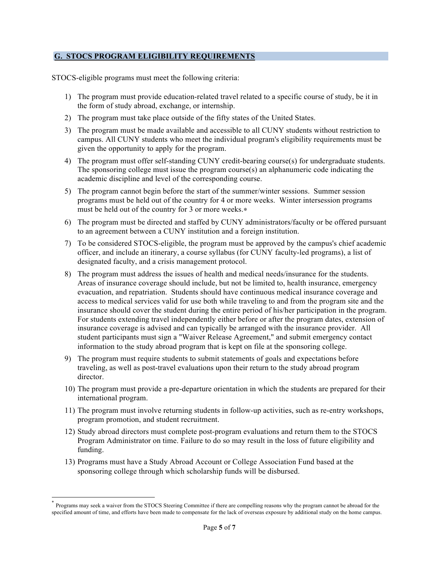### **G. STOCS PROGRAM ELIGIBILITY REQUIREMENTS**

STOCS-eligible programs must meet the following criteria:

- 1) The program must provide education-related travel related to a specific course of study, be it in the form of study abroad, exchange, or internship.
- 2) The program must take place outside of the fifty states of the United States.
- 3) The program must be made available and accessible to all CUNY students without restriction to campus. All CUNY students who meet the individual program's eligibility requirements must be given the opportunity to apply for the program.
- 4) The program must offer self-standing CUNY credit-bearing course(s) for undergraduate students. The sponsoring college must issue the program course(s) an alphanumeric code indicating the academic discipline and level of the corresponding course.
- 5) The program cannot begin before the start of the summer/winter sessions. Summer session programs must be held out of the country for 4 or more weeks. Winter intersession programs must be held out of the country for 3 or more weeks.∗
- 6) The program must be directed and staffed by CUNY administrators/faculty or be offered pursuant to an agreement between a CUNY institution and a foreign institution.
- 7) To be considered STOCS-eligible, the program must be approved by the campus's chief academic officer, and include an itinerary, a course syllabus (for CUNY faculty-led programs), a list of designated faculty, and a crisis management protocol.
- 8) The program must address the issues of health and medical needs/insurance for the students. Areas of insurance coverage should include, but not be limited to, health insurance, emergency evacuation, and repatriation. Students should have continuous medical insurance coverage and access to medical services valid for use both while traveling to and from the program site and the insurance should cover the student during the entire period of his/her participation in the program. For students extending travel independently either before or after the program dates, extension of insurance coverage is advised and can typically be arranged with the insurance provider. All student participants must sign a "Waiver Release Agreement," and submit emergency contact information to the study abroad program that is kept on file at the sponsoring college.
- 9) The program must require students to submit statements of goals and expectations before traveling, as well as post-travel evaluations upon their return to the study abroad program director.
- 10) The program must provide a pre-departure orientation in which the students are prepared for their international program.
- 11) The program must involve returning students in follow-up activities, such as re-entry workshops, program promotion, and student recruitment.
- 12) Study abroad directors must complete post-program evaluations and return them to the STOCS Program Administrator on time. Failure to do so may result in the loss of future eligibility and funding.
- 13) Programs must have a Study Abroad Account or College Association Fund based at the sponsoring college through which scholarship funds will be disbursed.

 <sup>\*</sup> Programs may seek a waiver from the STOCS Steering Committee if there are compelling reasons why the program cannot be abroad for the specified amount of time, and efforts have been made to compensate for the lack of overseas exposure by additional study on the home campus.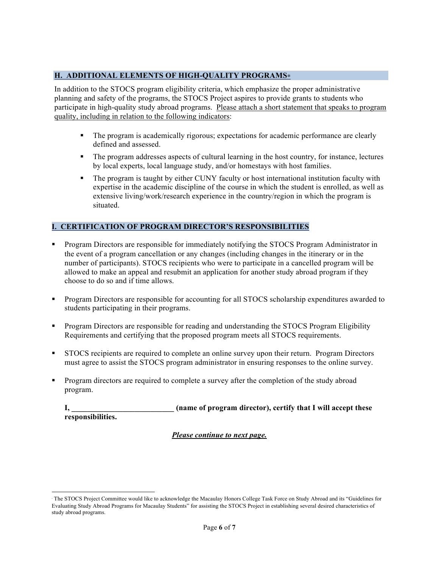## **H. ADDITIONAL ELEMENTS OF HIGH-QUALITY PROGRAMS**∗

In addition to the STOCS program eligibility criteria, which emphasize the proper administrative planning and safety of the programs, the STOCS Project aspires to provide grants to students who participate in high-quality study abroad programs. Please attach a short statement that speaks to program quality, including in relation to the following indicators:

- The program is academically rigorous; expectations for academic performance are clearly defined and assessed.
- The program addresses aspects of cultural learning in the host country, for instance, lectures by local experts, local language study, and/or homestays with host families.
- The program is taught by either CUNY faculty or host international institution faculty with expertise in the academic discipline of the course in which the student is enrolled, as well as extensive living/work/research experience in the country/region in which the program is situated.

# **I. CERTIFICATION OF PROGRAM DIRECTOR'S RESPONSIBILITIES**

- **Program Directors are responsible for immediately notifying the STOCS Program Administrator in** the event of a program cancellation or any changes (including changes in the itinerary or in the number of participants). STOCS recipients who were to participate in a cancelled program will be allowed to make an appeal and resubmit an application for another study abroad program if they choose to do so and if time allows.
- Program Directors are responsible for accounting for all STOCS scholarship expenditures awarded to students participating in their programs.
- **Program Directors are responsible for reading and understanding the STOCS Program Eligibility** Requirements and certifying that the proposed program meets all STOCS requirements.
- STOCS recipients are required to complete an online survey upon their return. Program Directors must agree to assist the STOCS program administrator in ensuring responses to the online survey.
- Program directors are required to complete a survey after the completion of the study abroad program.

**I, \_\_\_\_\_\_\_\_\_\_\_\_\_\_\_\_\_\_\_\_\_\_\_\_\_\_ (name of program director), certify that I will accept these responsibilities.**

*Please continue to next page.*

 $\overline{a}$ 

<sup>∗</sup> The STOCS Project Committee would like to acknowledge the Macaulay Honors College Task Force on Study Abroad and its "Guidelines for Evaluating Study Abroad Programs for Macaulay Students" for assisting the STOCS Project in establishing several desired characteristics of study abroad programs.